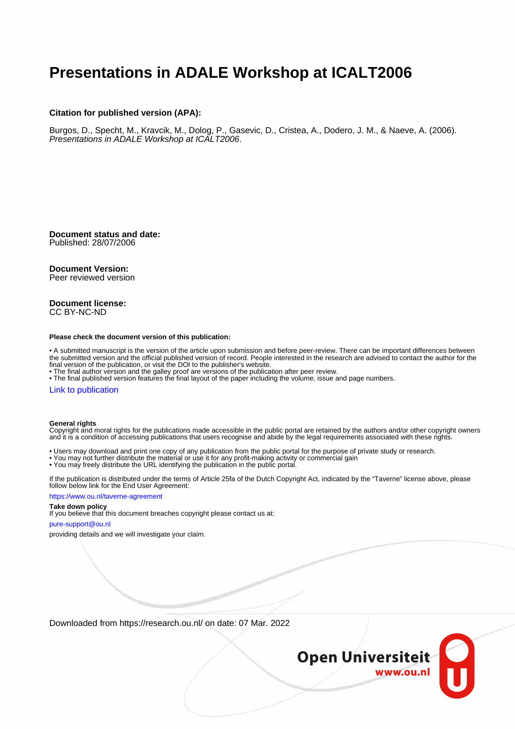### **Presentations in ADALE Workshop at ICALT2006**

### **Citation for published version (APA):**

Burgos, D., Specht, M., Kravcik, M., Dolog, P., Gasevic, D., Cristea, A., Dodero, J. M., & Naeve, A. (2006). Presentations in ADALE Workshop at ICALT2006.

**Document status and date:** Published: 28/07/2006

### **Document Version:**

Peer reviewed version

### **Document license:** CC BY-NC-ND

#### **Please check the document version of this publication:**

• A submitted manuscript is the version of the article upon submission and before peer-review. There can be important differences between the submitted version and the official published version of record. People interested in the research are advised to contact the author for the final version of the publication, or visit the DOI to the publisher's website.

• The final author version and the galley proof are versions of the publication after peer review.

• The final published version features the final layout of the paper including the volume, issue and page numbers.

### [Link to publication](https://research.ou.nl/en/publications/bc1a878c-e9cb-48f2-bf40-c3b124c7f6ea)

### **General rights**

Copyright and moral rights for the publications made accessible in the public portal are retained by the authors and/or other copyright owners and it is a condition of accessing publications that users recognise and abide by the legal requirements associated with these rights.

- Users may download and print one copy of any publication from the public portal for the purpose of private study or research.
- You may not further distribute the material or use it for any profit-making activity or commercial gain
- You may freely distribute the URL identifying the publication in the public portal.

If the publication is distributed under the terms of Article 25fa of the Dutch Copyright Act, indicated by the "Taverne" license above, please follow below link for the End User Agreement:

#### https://www.ou.nl/taverne-agreement

### **Take down policy**

If you believe that this document breaches copyright please contact us at:

### pure-support@ou.nl

providing details and we will investigate your claim.

Downloaded from https://research.ou.nl/ on date: 07 Mar. 2022

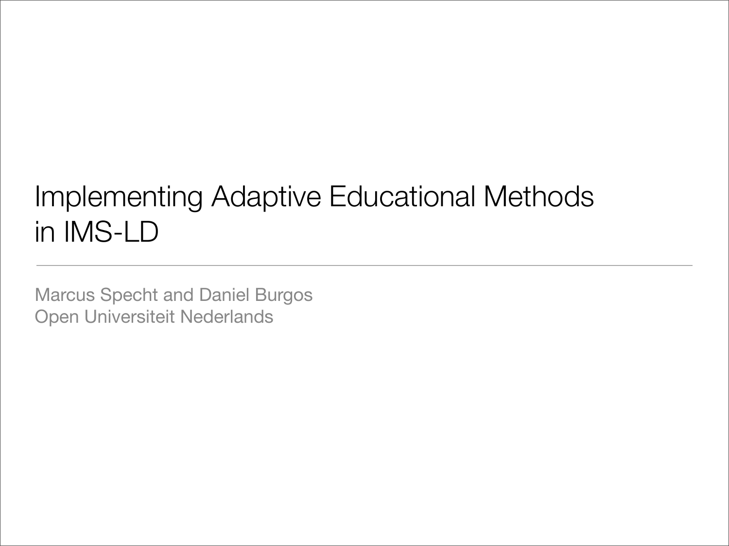# Implementing Adaptive Educational Methods in IMS-LD

Marcus Specht and Daniel Burgos Open Universiteit Nederlands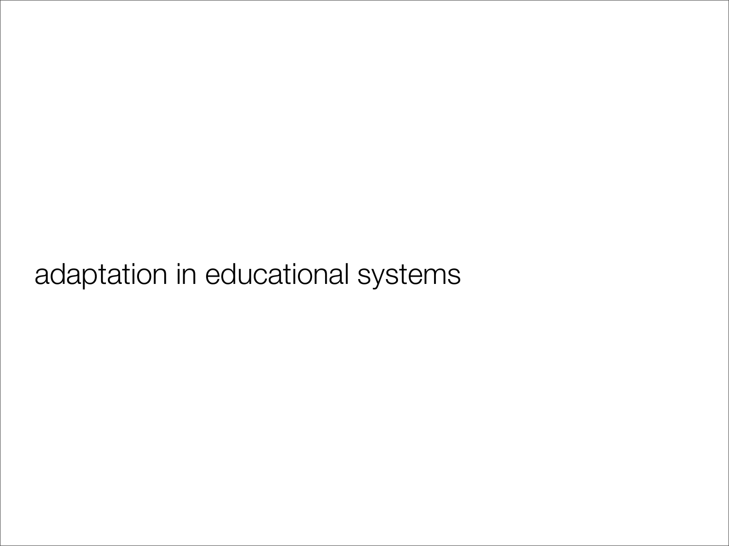adaptation in educational systems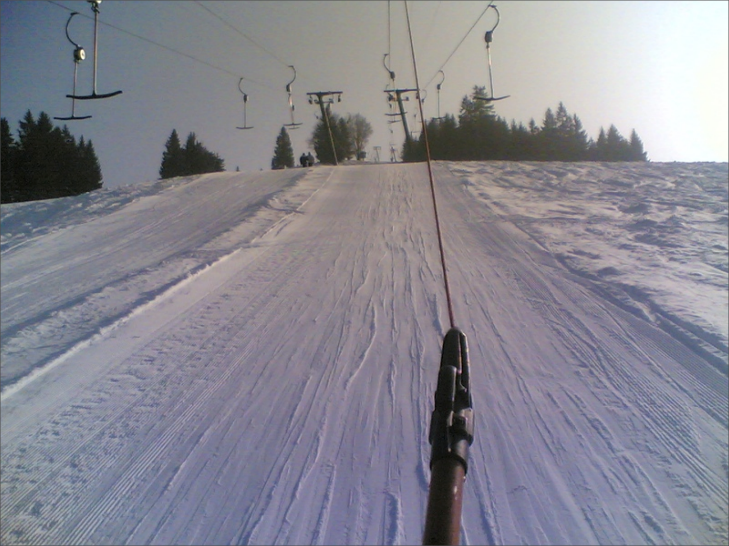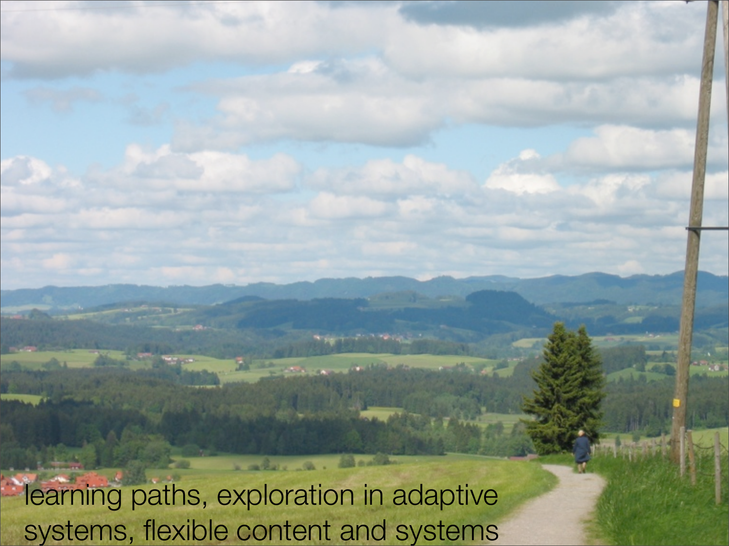learning paths, exploration in adaptive systems, flexible content and systems

 $n = 1$ 

**All a all A**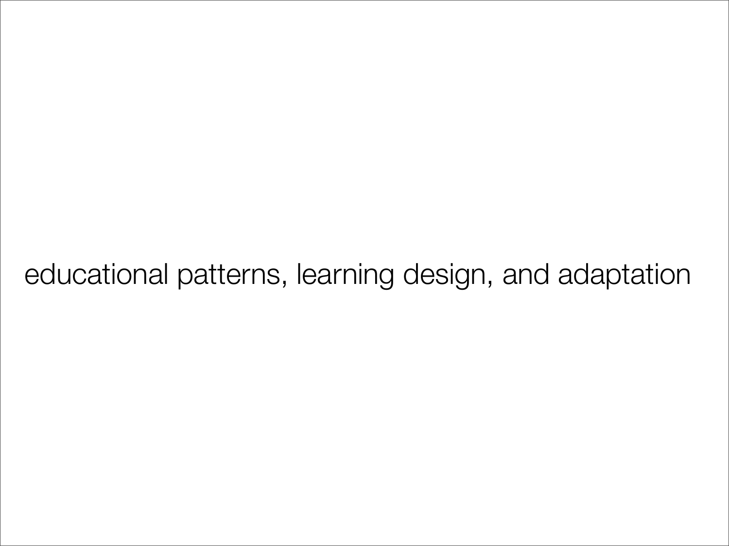educational patterns, learning design, and adaptation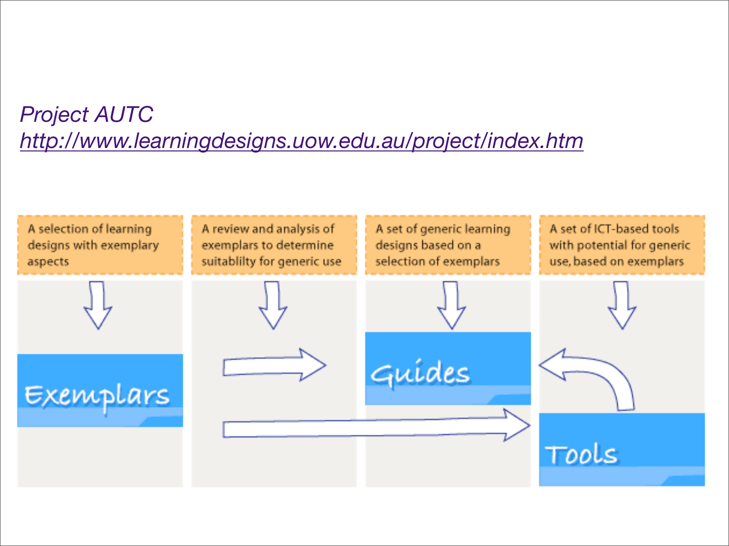## *Project AUTC <http://www.learningdesigns.uow.edu.au/project/index.htm>*

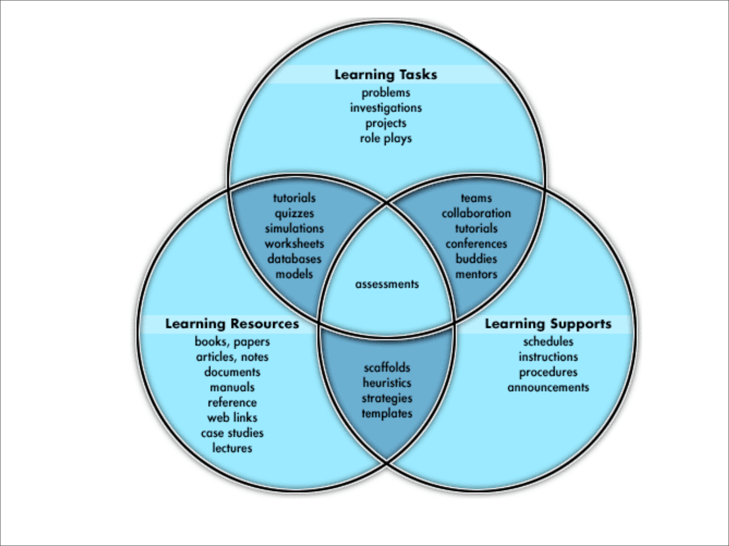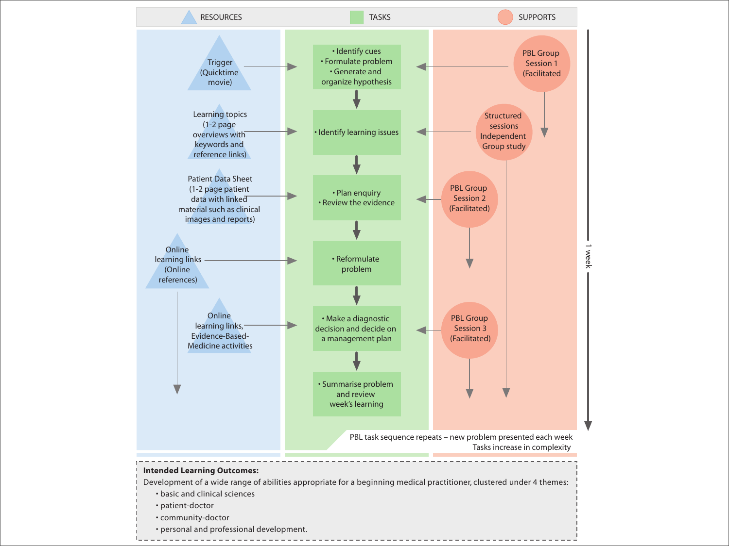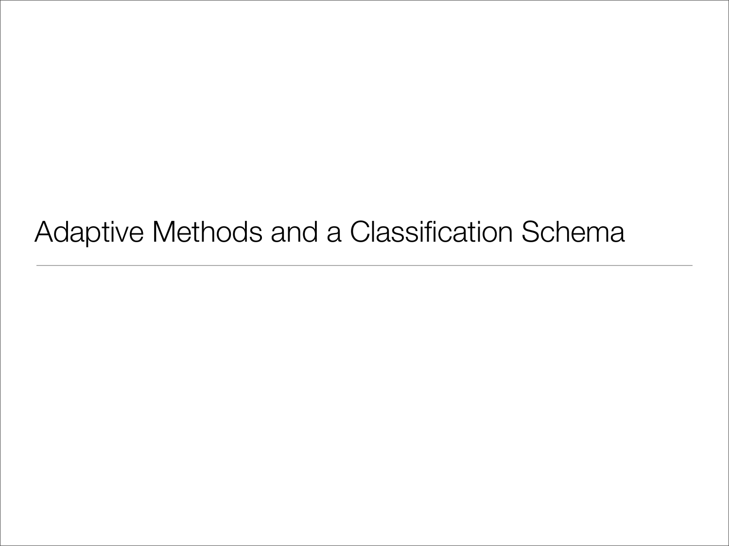## Adaptive Methods and a Classification Schema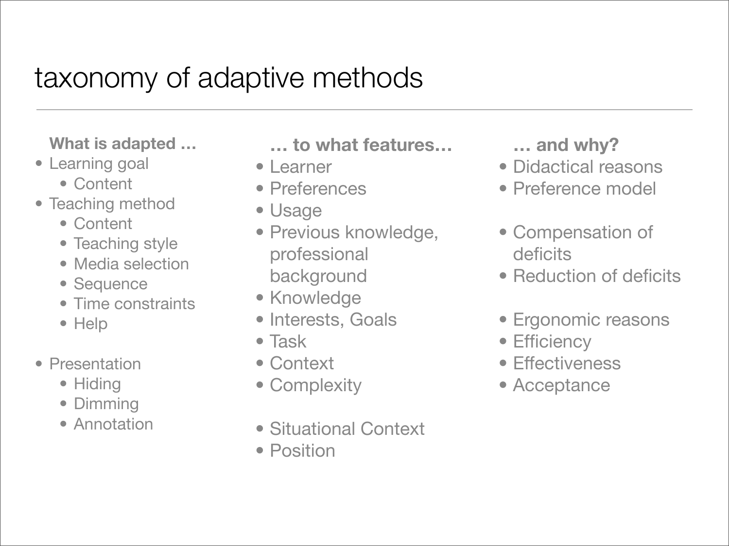# taxonomy of adaptive methods

## **What is adapted …**

- Learning goal
	- Content
- Teaching method
	- Content
	- Teaching style
	- Media selection
	- Sequence
	- Time constraints
	- Help

### • Presentation

- Hiding
- Dimming
- Annotation

## **… to what features…**

- Learner
- Preferences
- Usage
- Previous knowledge, professional background
- Knowledge
- Interests, Goals
- Task
- Context
- Complexity
- Situational Context
- Position

## **… and why?**

- Didactical reasons
- Preference model
- Compensation of deficits
- Reduction of deficits
- Ergonomic reasons
- Efficiency
- Effectiveness
- Acceptance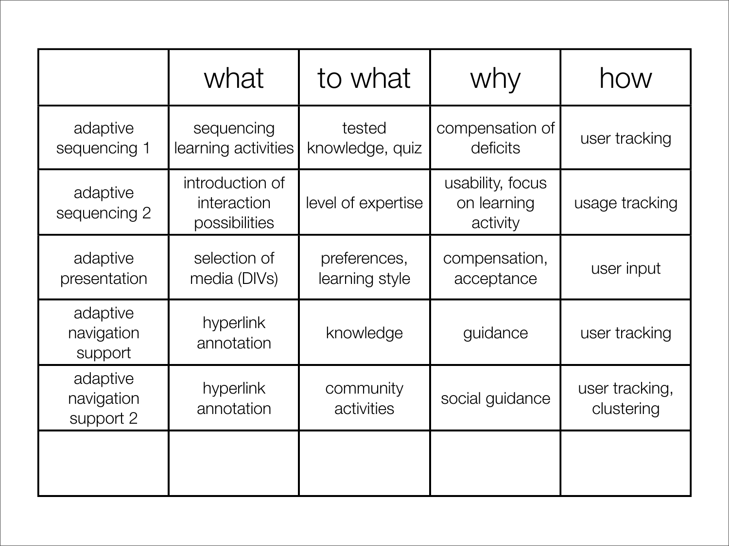|                                     | what                                            | to what                        | why                                         | how                          |
|-------------------------------------|-------------------------------------------------|--------------------------------|---------------------------------------------|------------------------------|
| adaptive<br>sequencing 1            | sequencing<br>learning activities               | tested<br>knowledge, quiz      | compensation of<br>deficits                 | user tracking                |
| adaptive<br>sequencing 2            | introduction of<br>interaction<br>possibilities | level of expertise             | usability, focus<br>on learning<br>activity | usage tracking               |
| adaptive<br>presentation            | selection of<br>media (DIVs)                    | preferences,<br>learning style | compensation,<br>acceptance                 | user input                   |
| adaptive<br>navigation<br>support   | hyperlink<br>annotation                         | knowledge                      | guidance                                    | user tracking                |
| adaptive<br>navigation<br>support 2 | hyperlink<br>annotation                         | community<br>activities        | social guidance                             | user tracking,<br>clustering |
|                                     |                                                 |                                |                                             |                              |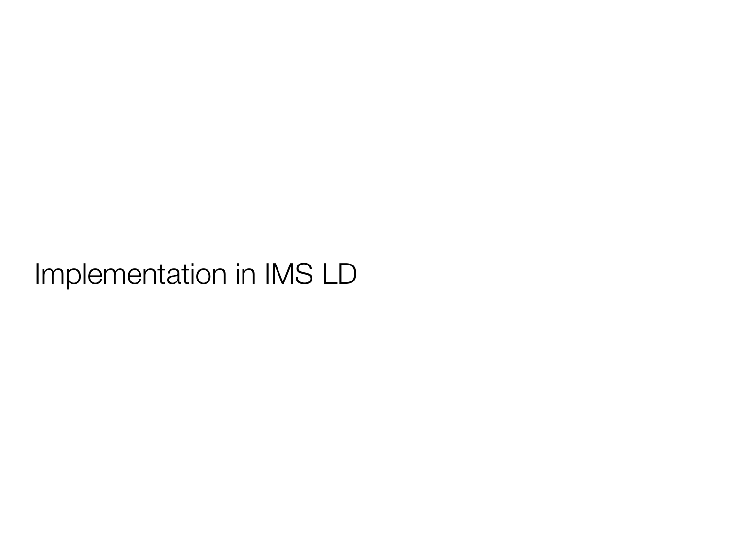# Implementation in IMS LD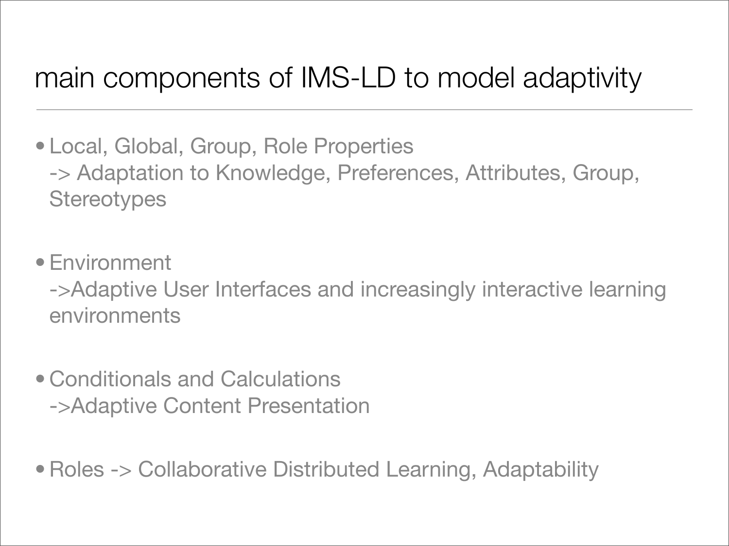## main components of IMS-LD to model adaptivity

• Local, Global, Group, Role Properties -> Adaptation to Knowledge, Preferences, Attributes, Group, **Stereotypes** 

• Environment

->Adaptive User Interfaces and increasingly interactive learning environments

- Conditionals and Calculations ->Adaptive Content Presentation
- Roles -> Collaborative Distributed Learning, Adaptability